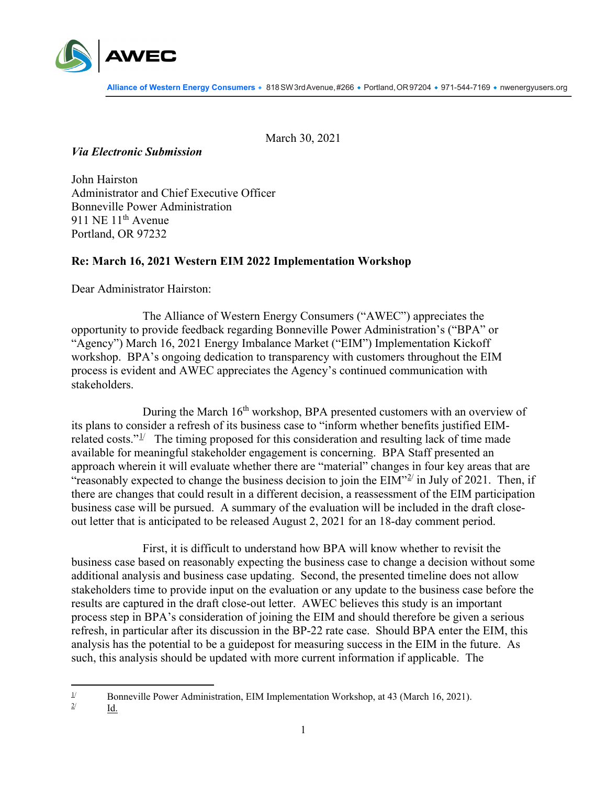

March 30, 2021

## *Via Electronic Submission*

John Hairston Administrator and Chief Executive Officer Bonneville Power Administration 911 NE 11<sup>th</sup> Avenue Portland, OR 97232

## **Re: March 16, 2021 Western EIM 2022 Implementation Workshop**

Dear Administrator Hairston:

The Alliance of Western Energy Consumers ("AWEC") appreciates the opportunity to provide feedback regarding Bonneville Power Administration's ("BPA" or "Agency") March 16, 2021 Energy Imbalance Market ("EIM") Implementation Kickoff workshop. BPA's ongoing dedication to transparency with customers throughout the EIM process is evident and AWEC appreciates the Agency's continued communication with stakeholders.

During the March 16<sup>th</sup> workshop, BPA presented customers with an overview of its plans to consider a refresh of its business case to "inform whether benefits justified EIMrelated costs." $\frac{1}{2}$  $\frac{1}{2}$  $\frac{1}{2}$  The timing proposed for this consideration and resulting lack of time made available for meaningful stakeholder engagement is concerning. BPA Staff presented an approach wherein it will evaluate whether there are "material" changes in four key areas that are "reasonably expected to change the business decision to join the  $EIM^{\prime\prime\prime\prime}$  in July of [2](#page-0-1)021. Then, if there are changes that could result in a different decision, a reassessment of the EIM participation business case will be pursued. A summary of the evaluation will be included in the draft closeout letter that is anticipated to be released August 2, 2021 for an 18-day comment period.

First, it is difficult to understand how BPA will know whether to revisit the business case based on reasonably expecting the business case to change a decision without some additional analysis and business case updating. Second, the presented timeline does not allow stakeholders time to provide input on the evaluation or any update to the business case before the results are captured in the draft close-out letter. AWEC believes this study is an important process step in BPA's consideration of joining the EIM and should therefore be given a serious refresh, in particular after its discussion in the BP-22 rate case. Should BPA enter the EIM, this analysis has the potential to be a guidepost for measuring success in the EIM in the future. As such, this analysis should be updated with more current information if applicable. The

Id.

<span id="page-0-1"></span><span id="page-0-0"></span><sup>&</sup>lt;sup>1/</sup> Bonneville Power Administration, EIM Implementation Workshop, at 43 (March 16, 2021).